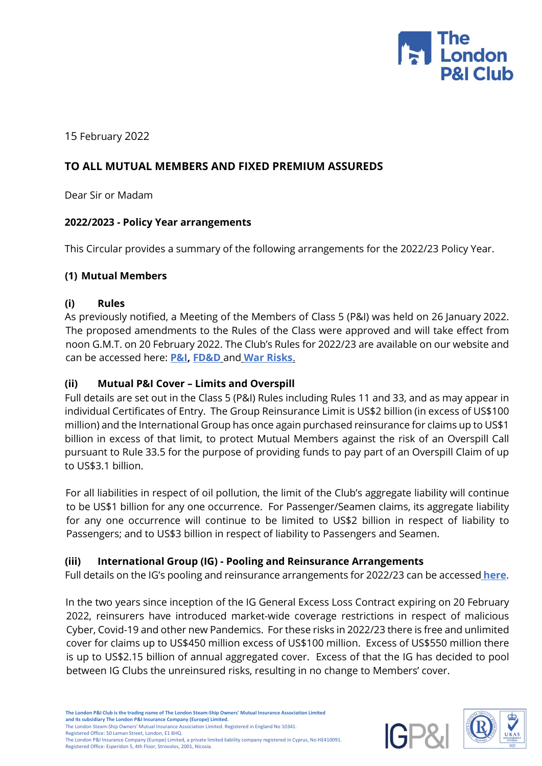

15 February 2022

# **TO ALL MUTUAL MEMBERS AND FIXED PREMIUM ASSUREDS**

Dear Sir or Madam

### **2022/2023 - Policy Year arrangements**

This Circular provides a summary of the following arrangements for the 2022/23 Policy Year.

### **(1) Mutual Members**

### **(i) Rules**

As previously notified, a Meeting of the Members of Class 5 (P&I) was held on 26 January 2022. The proposed amendments to the Rules of the Class were approved and will take effect from noon G.M.T. on 20 February 2022. The Club's Rules for 2022/23 are available on our website and can be accessed here: **[P&I,](https://www.londonpandi.com/documents/the-london-club-pplusi-rules-class-5-2022-2023/) [FD&D](https://www.londonpandi.com/documents/the-london-club-fdd-rules-class-8-2022-2023/)** and **[War Risks](https://www.londonpandi.com/documents/the-london-club-war-risk-rules-class-7-2022-2023/)**.

## **(ii) Mutual P&I Cover – Limits and Overspill**

Full details are set out in the Class 5 (P&I) Rules including Rules 11 and 33, and as may appear in individual Certificates of Entry. The Group Reinsurance Limit is US\$2 billion (in excess of US\$100 million) and the International Group has once again purchased reinsurance for claims up to US\$1 billion in excess of that limit, to protect Mutual Members against the risk of an Overspill Call pursuant to Rule 33.5 for the purpose of providing funds to pay part of an Overspill Claim of up to US\$3.1 billion.

For all liabilities in respect of oil pollution, the limit of the Club's aggregate liability will continue to be US\$1 billion for any one occurrence. For Passenger/Seamen claims, its aggregate liability for any one occurrence will continue to be limited to US\$2 billion in respect of liability to Passengers; and to US\$3 billion in respect of liability to Passengers and Seamen.

# **(iii) International Group (IG) - Pooling and Reinsurance Arrangements**

Full details on the IG's pooling and reinsurance arrangements for 2022/23 can be accessed **[here](https://www.londonpandi.com/documents/international-group-reinsurance-renewal-2022/)**[.](https://www.londonpandi.com/documents/international-group-reinsurance-renewal-2022/)

In the two years since inception of the IG General Excess Loss Contract expiring on 20 February 2022, reinsurers have introduced market-wide coverage restrictions in respect of malicious Cyber, Covid-19 and other new Pandemics. For these risks in 2022/23 there is free and unlimited cover for claims up to US\$450 million excess of US\$100 million. Excess of US\$550 million there is up to US\$2.15 billion of annual aggregated cover. Excess of that the IG has decided to pool between IG Clubs the unreinsured risks, resulting in no change to Members' cover.



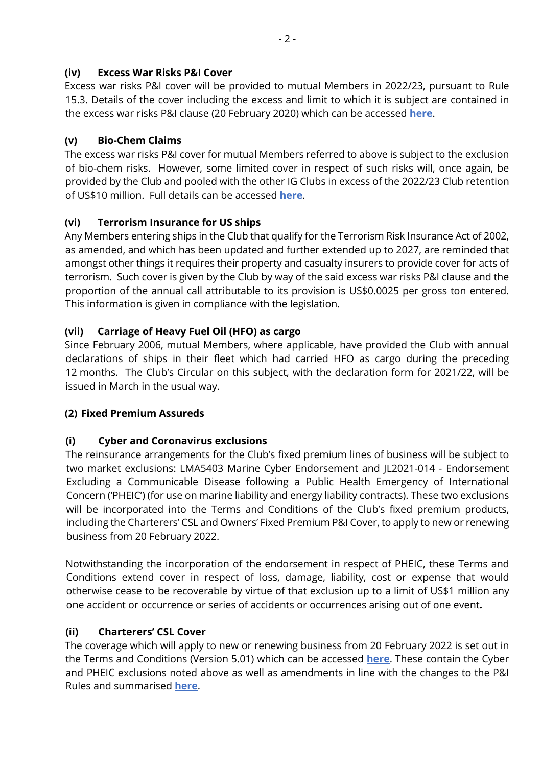# **(iv) Excess War Risks P&I Cover**

Excess war risks P&I cover will be provided to mutual Members in 2022/23, pursuant to Rule 15.3. Details of the cover including the excess and limit to which it is subject are contained in the excess war risks P&I clause (20 February 2020) which can be accessed **[here](https://www.londonpandi.com/documents/clause-2-excess-war-risks-pplusi-clause/)**.

# **(v) Bio-Chem Claims**

The excess war risks P&I cover for mutual Members referred to above is subject to the exclusion of bio-chem risks. However, some limited cover in respect of such risks will, once again, be provided by the Club and pooled with the other IG Clubs in excess of the 2022/23 Club retention of US\$10 million. Full details can be accessed **[here](https://www.londonpandi.com/documents/clause-3-bio-chem-inclusion-clause/)**[.](https://www.londonpandi.com/documents/clause-3-bio-chem-inclusion-clause/)

# **(vi) Terrorism Insurance for US ships**

Any Members entering ships in the Club that qualify for the Terrorism Risk Insurance Act of 2002, as amended, and which has been updated and further extended up to 2027, are reminded that amongst other things it requires their property and casualty insurers to provide cover for acts of terrorism. Such cover is given by the Club by way of the said excess war risks P&I clause and the proportion of the annual call attributable to its provision is US\$0.0025 per gross ton entered. This information is given in compliance with the legislation.

# **(vii) Carriage of Heavy Fuel Oil (HFO) as cargo**

Since February 2006, mutual Members, where applicable, have provided the Club with annual declarations of ships in their fleet which had carried HFO as cargo during the preceding 12 months. The Club's Circular on this subject, with the declaration form for 2021/22, will be issued in March in the usual way.

# **(2) Fixed Premium Assureds**

# **(i) Cyber and Coronavirus exclusions**

The reinsurance arrangements for the Club's fixed premium lines of business will be subject to two market exclusions: LMA5403 Marine Cyber Endorsement and JL2021-014 - Endorsement Excluding a Communicable Disease following a Public Health Emergency of International Concern ('PHEIC') (for use on marine liability and energy liability contracts). These two exclusions will be incorporated into the Terms and Conditions of the Club's fixed premium products, including the Charterers' CSL and Owners' Fixed Premium P&I Cover, to apply to new or renewing business from 20 February 2022.

Notwithstanding the incorporation of the endorsement in respect of PHEIC, these Terms and Conditions extend cover in respect of loss, damage, liability, cost or expense that would otherwise cease to be recoverable by virtue of that exclusion up to a limit of US\$1 million any one accident or occurrence or series of accidents or occurrences arising out of one event**.**

# **(ii) Charterers' CSL Cover**

The coverage which will apply to new or renewing business from 20 February 2022 is set out in the Terms and Conditions (Version 5.01) which can be accessed **[here](https://www.londonpandi.com/documents/the-london-club-charterers-csl-tcs-2022-2023-version-501/)**. These contain the Cyber and PHEIC exclusions noted above as well as amendments in line with the changes to the P&I Rules and summarised **[here](https://www.londonpandi.com/documents/the-london-club-charterers-csl-cover-summary-version-501/)**.